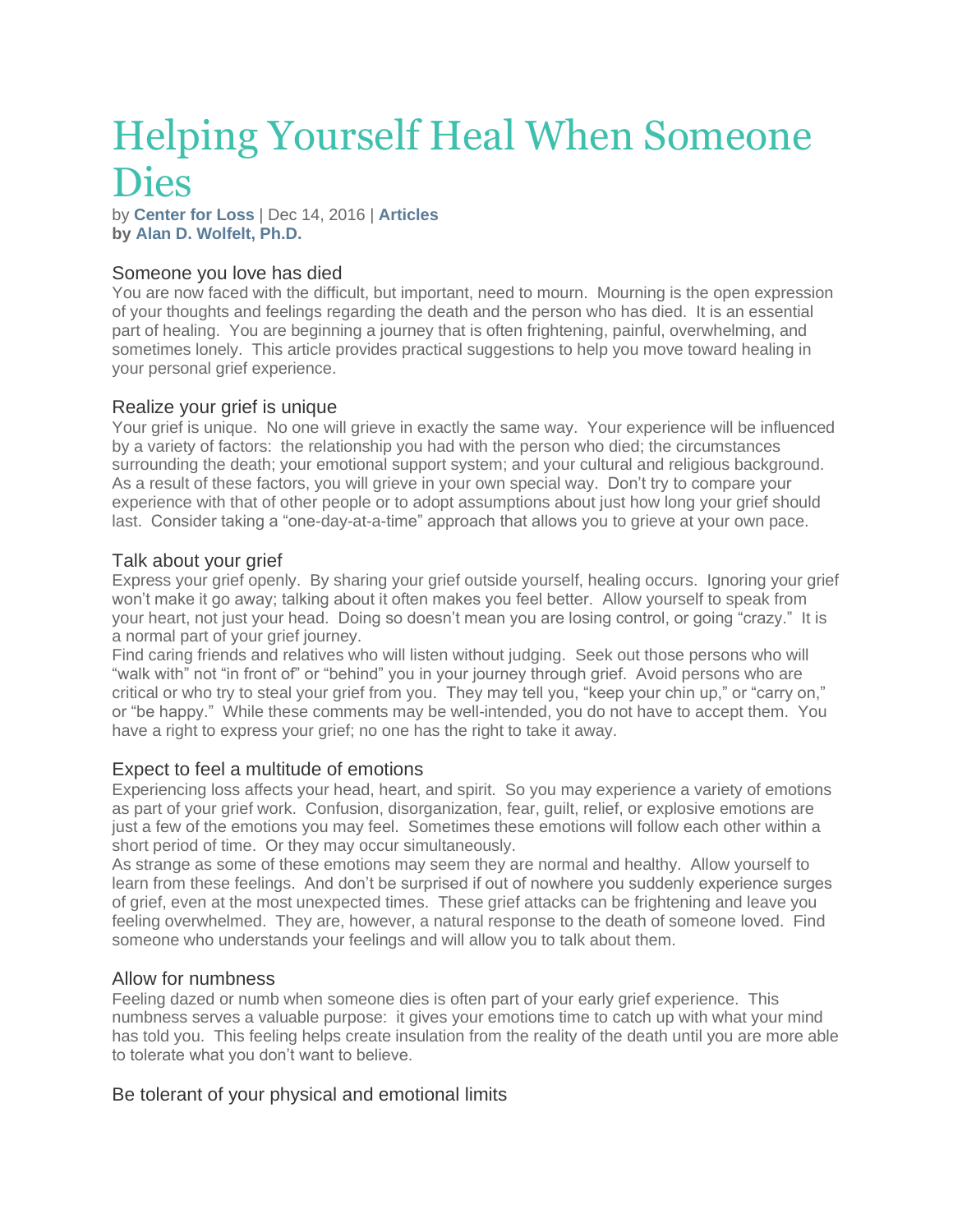# Helping Yourself Heal When Someone Dies

by **[Center](https://www.centerforloss.com/author/bookscenterforloss-com/) for Loss** | Dec 14, 2016 | **[Articles](https://www.centerforloss.com/category/articles/) by Alan D. [Wolfelt,](https://www.centerforloss.com/about-the-center-for-loss/about-dr-alan-wolfelt/) Ph.D.**

## Someone you love has died

You are now faced with the difficult, but important, need to mourn. Mourning is the open expression of your thoughts and feelings regarding the death and the person who has died. It is an essential part of healing. You are beginning a journey that is often frightening, painful, overwhelming, and sometimes lonely. This article provides practical suggestions to help you move toward healing in your personal grief experience.

## Realize your grief is unique

Your grief is unique. No one will grieve in exactly the same way. Your experience will be influenced by a variety of factors: the relationship you had with the person who died; the circumstances surrounding the death; your emotional support system; and your cultural and religious background. As a result of these factors, you will grieve in your own special way. Don't try to compare your experience with that of other people or to adopt assumptions about just how long your grief should last. Consider taking a "one-day-at-a-time" approach that allows you to grieve at your own pace.

#### Talk about your grief

Express your grief openly. By sharing your grief outside yourself, healing occurs. Ignoring your grief won't make it go away; talking about it often makes you feel better. Allow yourself to speak from your heart, not just your head. Doing so doesn't mean you are losing control, or going "crazy." It is a normal part of your grief journey.

Find caring friends and relatives who will listen without judging. Seek out those persons who will "walk with" not "in front of" or "behind" you in your journey through grief. Avoid persons who are critical or who try to steal your grief from you. They may tell you, "keep your chin up," or "carry on," or "be happy." While these comments may be well-intended, you do not have to accept them. You have a right to express your grief; no one has the right to take it away.

## Expect to feel a multitude of emotions

Experiencing loss affects your head, heart, and spirit. So you may experience a variety of emotions as part of your grief work. Confusion, disorganization, fear, guilt, relief, or explosive emotions are just a few of the emotions you may feel. Sometimes these emotions will follow each other within a short period of time. Or they may occur simultaneously.

As strange as some of these emotions may seem they are normal and healthy. Allow yourself to learn from these feelings. And don't be surprised if out of nowhere you suddenly experience surges of grief, even at the most unexpected times. These grief attacks can be frightening and leave you feeling overwhelmed. They are, however, a natural response to the death of someone loved. Find someone who understands your feelings and will allow you to talk about them.

## Allow for numbness

Feeling dazed or numb when someone dies is often part of your early grief experience. This numbness serves a valuable purpose: it gives your emotions time to catch up with what your mind has told you. This feeling helps create insulation from the reality of the death until you are more able to tolerate what you don't want to believe.

## Be tolerant of your physical and emotional limits